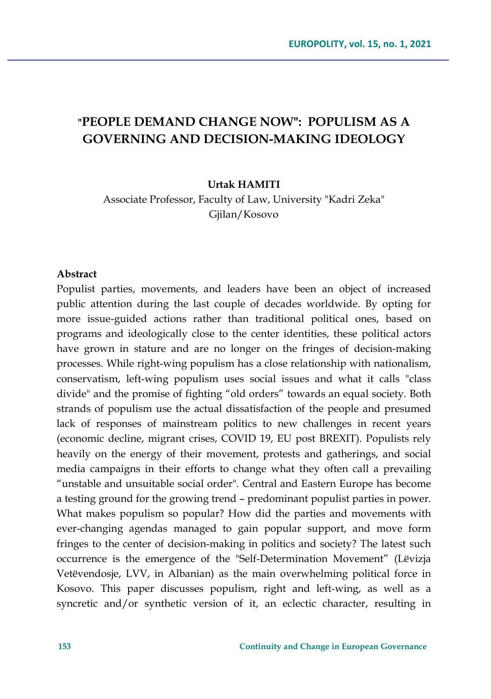# **"PEOPLE DEMAND CHANGE NOW": POPULISM AS A GOVERNING AND DECISION-MAKING IDEOLOGY**

#### **Urtak HAMITI**

Associate Professor, Faculty of Law, University "Kadri Zeka" Gjilan/Kosovo

#### **Abstract**

Populist parties, movements, and leaders have been an object of increased public attention during the last couple of decades worldwide. By opting for more issue-guided actions rather than traditional political ones, based on programs and ideologically close to the center identities, these political actors have grown in stature and are no longer on the fringes of decision-making processes. While right-wing populism has a close relationship with nationalism, conservatism, left-wing populism uses social issues and what it calls "class divide" and the promise of fighting "old orders" towards an equal society. Both strands of populism use the actual dissatisfaction of the people and presumed lack of responses of mainstream politics to new challenges in recent years (economic decline, migrant crises, COVID 19, EU post BREXIT). Populists rely heavily on the energy of their movement, protests and gatherings, and social media campaigns in their efforts to change what they often call a prevailing "unstable and unsuitable social order". Central and Eastern Europe has become a testing ground for the growing trend – predominant populist parties in power. What makes populism so popular? How did the parties and movements with ever-changing agendas managed to gain popular support, and move form fringes to the center of decision-making in politics and society? The latest such occurrence is the emergence of the "Self-Determination Movement" (Lëvizja Vetëvendosje, LVV, in Albanian) as the main overwhelming political force in Kosovo. This paper discusses populism, right and left-wing, as well as a syncretic and/or synthetic version of it, an eclectic character, resulting in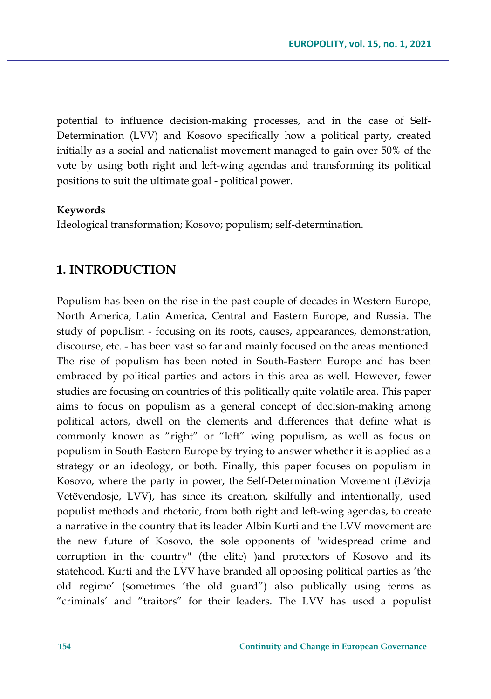potential to influence decision-making processes, and in the case of Self-Determination (LVV) and Kosovo specifically how a political party, created initially as a social and nationalist movement managed to gain over 50% of the vote by using both right and left-wing agendas and transforming its political positions to suit the ultimate goal - political power.

#### **Keywords**

Ideological transformation; Kosovo; populism; self-determination.

### **1. INTRODUCTION**

Populism has been on the rise in the past couple of decades in Western Europe, North America, Latin America, Central and Eastern Europe, and Russia. The study of populism - focusing on its roots, causes, appearances, demonstration, discourse, etc. - has been vast so far and mainly focused on the areas mentioned. The rise of populism has been noted in South-Eastern Europe and has been embraced by political parties and actors in this area as well. However, fewer studies are focusing on countries of this politically quite volatile area. This paper aims to focus on populism as a general concept of decision-making among political actors, dwell on the elements and differences that define what is commonly known as "right" or "left" wing populism, as well as focus on populism in South-Eastern Europe by trying to answer whether it is applied as a strategy or an ideology, or both. Finally, this paper focuses on populism in Kosovo, where the party in power, the Self-Determination Movement (Lëvizja Vetëvendosje, LVV), has since its creation, skilfully and intentionally, used populist methods and rhetoric, from both right and left-wing agendas, to create a narrative in the country that its leader Albin Kurti and the LVV movement are the new future of Kosovo, the sole opponents of 'widespread crime and corruption in the country" (the elite) )and protectors of Kosovo and its statehood. Kurti and the LVV have branded all opposing political parties as 'the old regime' (sometimes 'the old guard") also publically using terms as "criminals' and "traitors" for their leaders. The LVV has used a populist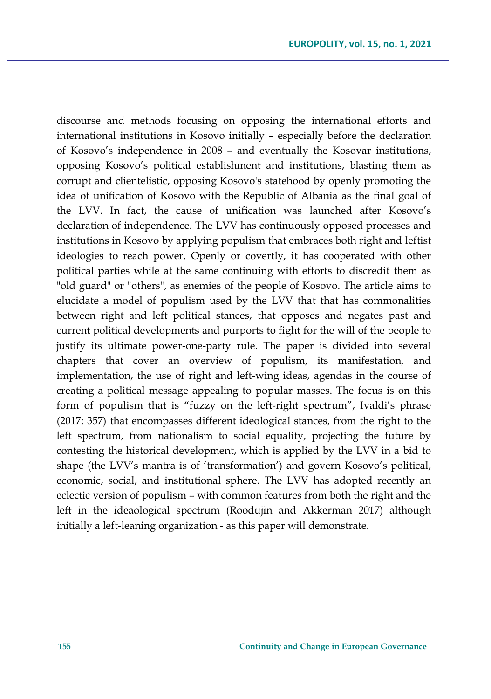discourse and methods focusing on opposing the international efforts and international institutions in Kosovo initially – especially before the declaration of Kosovo's independence in 2008 – and eventually the Kosovar institutions, opposing Kosovo's political establishment and institutions, blasting them as corrupt and clientelistic, opposing Kosovo's statehood by openly promoting the idea of unification of Kosovo with the Republic of Albania as the final goal of the LVV. In fact, the cause of unification was launched after Kosovo's declaration of independence. The LVV has continuously opposed processes and institutions in Kosovo by applying populism that embraces both right and leftist ideologies to reach power. Openly or covertly, it has cooperated with other political parties while at the same continuing with efforts to discredit them as "old guard" or "others", as enemies of the people of Kosovo. The article aims to elucidate a model of populism used by the LVV that that has commonalities between right and left political stances, that opposes and negates past and current political developments and purports to fight for the will of the people to justify its ultimate power-one-party rule. The paper is divided into several chapters that cover an overview of populism, its manifestation, and implementation, the use of right and left-wing ideas, agendas in the course of creating a political message appealing to popular masses. The focus is on this form of populism that is "fuzzy on the left-right spectrum", Ivaldi's phrase (2017: 357) that encompasses different ideological stances, from the right to the left spectrum, from nationalism to social equality, projecting the future by contesting the historical development, which is applied by the LVV in a bid to shape (the LVV's mantra is of 'transformation') and govern Kosovo's political, economic, social, and institutional sphere. The LVV has adopted recently an eclectic version of populism – with common features from both the right and the left in the ideaological spectrum (Roodujin and Akkerman 2017) although initially a left-leaning organization - as this paper will demonstrate.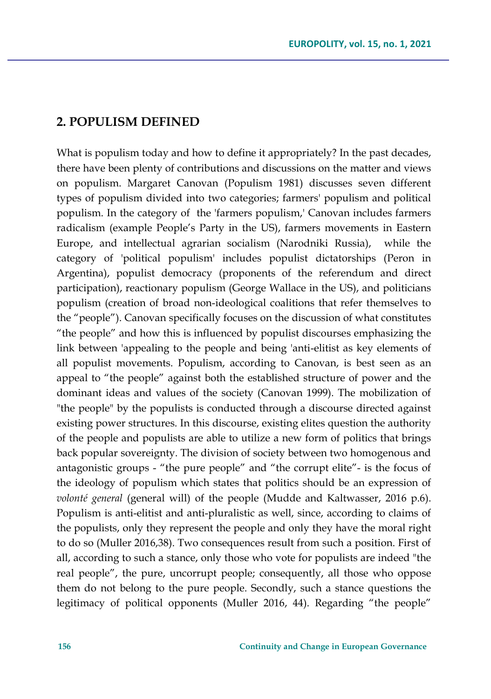### **2. POPULISM DEFINED**

What is populism today and how to define it appropriately? In the past decades, there have been plenty of contributions and discussions on the matter and views on populism. Margaret Canovan (Populism 1981) discusses seven different types of populism divided into two categories; farmers' populism and political populism. In the category of the 'farmers populism,' Canovan includes farmers radicalism (example People's Party in the US), farmers movements in Eastern Europe, and intellectual agrarian socialism (Narodniki Russia), while the category of 'political populism' includes populist dictatorships (Peron in Argentina), populist democracy (proponents of the referendum and direct participation), reactionary populism (George Wallace in the US), and politicians populism (creation of broad non-ideological coalitions that refer themselves to the "people"). Canovan specifically focuses on the discussion of what constitutes "the people" and how this is influenced by populist discourses emphasizing the link between 'appealing to the people and being 'anti-elitist as key elements of all populist movements. Populism, according to Canovan, is best seen as an appeal to "the people" against both the established structure of power and the dominant ideas and values of the society (Canovan 1999). The mobilization of "the people" by the populists is conducted through a discourse directed against existing power structures. In this discourse, existing elites question the authority of the people and populists are able to utilize a new form of politics that brings back popular sovereignty. The division of society between two homogenous and antagonistic groups - "the pure people" and "the corrupt elite"- is the focus of the ideology of populism which states that politics should be an expression of *volonté general* (general will) of the people (Mudde and Kaltwasser, 2016 p.6). Populism is anti-elitist and anti-pluralistic as well, since, according to claims of the populists, only they represent the people and only they have the moral right to do so (Muller 2016,38). Two consequences result from such a position. First of all, according to such a stance, only those who vote for populists are indeed "the real people", the pure, uncorrupt people; consequently, all those who oppose them do not belong to the pure people. Secondly, such a stance questions the legitimacy of political opponents (Muller 2016, 44). Regarding "the people"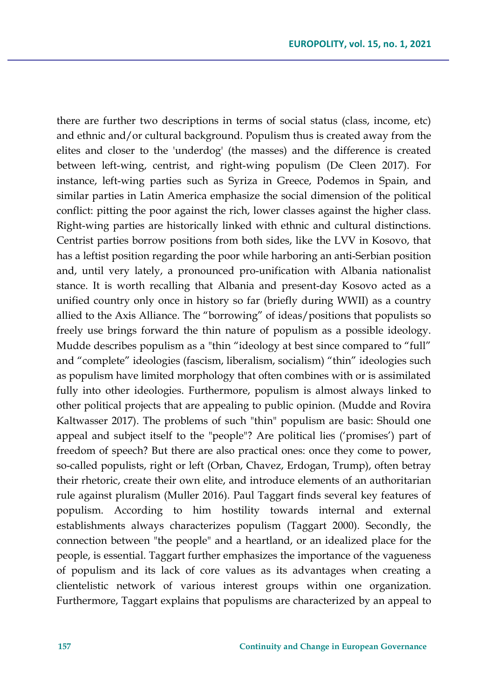there are further two descriptions in terms of social status (class, income, etc) and ethnic and/or cultural background. Populism thus is created away from the elites and closer to the 'underdog' (the masses) and the difference is created between left-wing, centrist, and right-wing populism (De Cleen 2017). For instance, left-wing parties such as Syriza in Greece, Podemos in Spain, and similar parties in Latin America emphasize the social dimension of the political conflict: pitting the poor against the rich, lower classes against the higher class. Right-wing parties are historically linked with ethnic and cultural distinctions. Centrist parties borrow positions from both sides, like the LVV in Kosovo, that has a leftist position regarding the poor while harboring an anti-Serbian position and, until very lately, a pronounced pro-unification with Albania nationalist stance. It is worth recalling that Albania and present-day Kosovo acted as a unified country only once in history so far (briefly during WWII) as a country allied to the Axis Alliance. The "borrowing" of ideas/positions that populists so freely use brings forward the thin nature of populism as a possible ideology. Mudde describes populism as a "thin "ideology at best since compared to "full" and "complete" ideologies (fascism, liberalism, socialism) "thin" ideologies such as populism have limited morphology that often combines with or is assimilated fully into other ideologies. Furthermore, populism is almost always linked to other political projects that are appealing to public opinion. (Mudde and Rovira Kaltwasser 2017). The problems of such "thin" populism are basic: Should one appeal and subject itself to the "people"? Are political lies ('promises') part of freedom of speech? But there are also practical ones: once they come to power, so-called populists, right or left (Orban, Chavez, Erdogan, Trump), often betray their rhetoric, create their own elite, and introduce elements of an authoritarian rule against pluralism (Muller 2016). Paul Taggart finds several key features of populism. According to him hostility towards internal and external establishments always characterizes populism (Taggart 2000). Secondly, the connection between "the people" and a heartland, or an idealized place for the people, is essential. Taggart further emphasizes the importance of the vagueness of populism and its lack of core values as its advantages when creating a clientelistic network of various interest groups within one organization. Furthermore, Taggart explains that populisms are characterized by an appeal to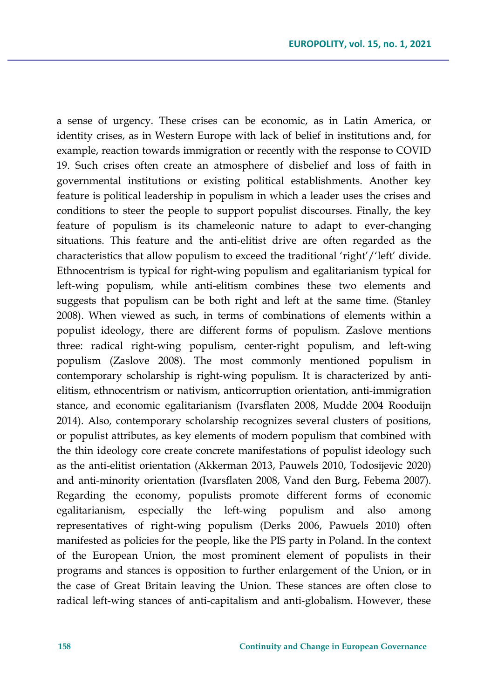a sense of urgency. These crises can be economic, as in Latin America, or identity crises, as in Western Europe with lack of belief in institutions and, for example, reaction towards immigration or recently with the response to COVID 19. Such crises often create an atmosphere of disbelief and loss of faith in governmental institutions or existing political establishments. Another key feature is political leadership in populism in which a leader uses the crises and conditions to steer the people to support populist discourses. Finally, the key feature of populism is its chameleonic nature to adapt to ever-changing situations. This feature and the anti-elitist drive are often regarded as the characteristics that allow populism to exceed the traditional 'right'/'left' divide. Ethnocentrism is typical for right-wing populism and egalitarianism typical for left-wing populism, while anti-elitism combines these two elements and suggests that populism can be both right and left at the same time. (Stanley 2008). When viewed as such, in terms of combinations of elements within a populist ideology, there are different forms of populism. Zaslove mentions three: radical right-wing populism, center-right populism, and left-wing populism (Zaslove 2008). The most commonly mentioned populism in contemporary scholarship is right-wing populism. It is characterized by antielitism, ethnocentrism or nativism, anticorruption orientation, anti-immigration stance, and economic egalitarianism (Ivarsflaten 2008, Mudde 2004 Rooduijn 2014). Also, contemporary scholarship recognizes several clusters of positions, or populist attributes, as key elements of modern populism that combined with the thin ideology core create concrete manifestations of populist ideology such as the anti-elitist orientation (Akkerman 2013, Pauwels 2010, Todosijevic 2020) and anti-minority orientation (Ivarsflaten 2008, Vand den Burg, Febema 2007). Regarding the economy, populists promote different forms of economic egalitarianism, especially the left-wing populism and also among representatives of right-wing populism (Derks 2006, Pawuels 2010) often manifested as policies for the people, like the PIS party in Poland. In the context of the European Union, the most prominent element of populists in their programs and stances is opposition to further enlargement of the Union, or in the case of Great Britain leaving the Union. These stances are often close to radical left-wing stances of anti-capitalism and anti-globalism. However, these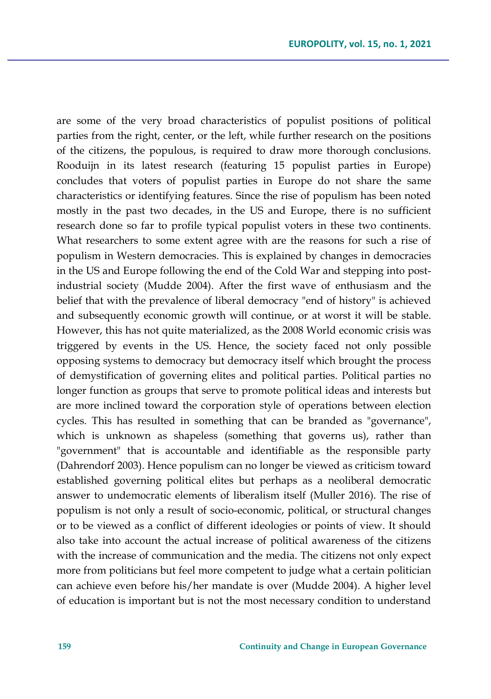are some of the very broad characteristics of populist positions of political parties from the right, center, or the left, while further research on the positions of the citizens, the populous, is required to draw more thorough conclusions. Rooduijn in its latest research (featuring 15 populist parties in Europe) concludes that voters of populist parties in Europe do not share the same characteristics or identifying features. Since the rise of populism has been noted mostly in the past two decades, in the US and Europe, there is no sufficient research done so far to profile typical populist voters in these two continents. What researchers to some extent agree with are the reasons for such a rise of populism in Western democracies. This is explained by changes in democracies in the US and Europe following the end of the Cold War and stepping into postindustrial society (Mudde 2004). After the first wave of enthusiasm and the belief that with the prevalence of liberal democracy "end of history" is achieved and subsequently economic growth will continue, or at worst it will be stable. However, this has not quite materialized, as the 2008 World economic crisis was triggered by events in the US. Hence, the society faced not only possible opposing systems to democracy but democracy itself which brought the process of demystification of governing elites and political parties. Political parties no longer function as groups that serve to promote political ideas and interests but are more inclined toward the corporation style of operations between election cycles. This has resulted in something that can be branded as "governance", which is unknown as shapeless (something that governs us), rather than "government" that is accountable and identifiable as the responsible party (Dahrendorf 2003). Hence populism can no longer be viewed as criticism toward established governing political elites but perhaps as a neoliberal democratic answer to undemocratic elements of liberalism itself (Muller 2016). The rise of populism is not only a result of socio-economic, political, or structural changes or to be viewed as a conflict of different ideologies or points of view. It should also take into account the actual increase of political awareness of the citizens with the increase of communication and the media. The citizens not only expect more from politicians but feel more competent to judge what a certain politician can achieve even before his/her mandate is over (Mudde 2004). A higher level of education is important but is not the most necessary condition to understand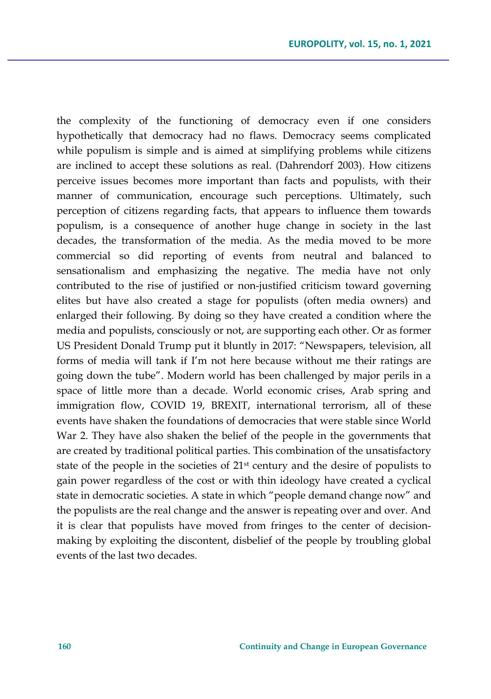the complexity of the functioning of democracy even if one considers hypothetically that democracy had no flaws. Democracy seems complicated while populism is simple and is aimed at simplifying problems while citizens are inclined to accept these solutions as real. (Dahrendorf 2003). How citizens perceive issues becomes more important than facts and populists, with their manner of communication, encourage such perceptions. Ultimately, such perception of citizens regarding facts, that appears to influence them towards populism, is a consequence of another huge change in society in the last decades, the transformation of the media. As the media moved to be more commercial so did reporting of events from neutral and balanced to sensationalism and emphasizing the negative. The media have not only contributed to the rise of justified or non-justified criticism toward governing elites but have also created a stage for populists (often media owners) and enlarged their following. By doing so they have created a condition where the media and populists, consciously or not, are supporting each other. Or as former US President Donald Trump put it bluntly in 2017: "Newspapers, television, all forms of media will tank if I'm not here because without me their ratings are going down the tube". Modern world has been challenged by major perils in a space of little more than a decade. World economic crises, Arab spring and immigration flow, COVID 19, BREXIT, international terrorism, all of these events have shaken the foundations of democracies that were stable since World War 2. They have also shaken the belief of the people in the governments that are created by traditional political parties. This combination of the unsatisfactory state of the people in the societies of 21st century and the desire of populists to gain power regardless of the cost or with thin ideology have created a cyclical state in democratic societies. A state in which "people demand change now" and the populists are the real change and the answer is repeating over and over. And it is clear that populists have moved from fringes to the center of decisionmaking by exploiting the discontent, disbelief of the people by troubling global events of the last two decades.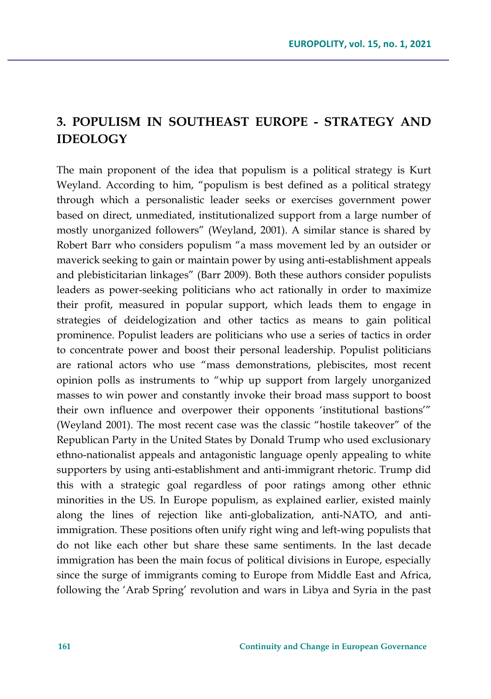## **3. POPULISM IN SOUTHEAST EUROPE - STRATEGY AND IDEOLOGY**

The main proponent of the idea that populism is a political strategy is Kurt Weyland. According to him, "populism is best defined as a political strategy through which a personalistic leader seeks or exercises government power based on direct, unmediated, institutionalized support from a large number of mostly unorganized followers" (Weyland, 2001). A similar stance is shared by Robert Barr who considers populism "a mass movement led by an outsider or maverick seeking to gain or maintain power by using anti-establishment appeals and plebisticitarian linkages" (Barr 2009). Both these authors consider populists leaders as power-seeking politicians who act rationally in order to maximize their profit, measured in popular support, which leads them to engage in strategies of deidelogization and other tactics as means to gain political prominence. Populist leaders are politicians who use a series of tactics in order to concentrate power and boost their personal leadership. Populist politicians are rational actors who use "mass demonstrations, plebiscites, most recent opinion polls as instruments to "whip up support from largely unorganized masses to win power and constantly invoke their broad mass support to boost their own influence and overpower their opponents 'institutional bastions'" (Weyland 2001). The most recent case was the classic "hostile takeover" of the Republican Party in the United States by Donald Trump who used exclusionary ethno-nationalist appeals and antagonistic language openly appealing to white supporters by using anti-establishment and anti-immigrant rhetoric. Trump did this with a strategic goal regardless of poor ratings among other ethnic minorities in the US. In Europe populism, as explained earlier, existed mainly along the lines of rejection like anti-globalization, anti-NATO, and antiimmigration. These positions often unify right wing and left-wing populists that do not like each other but share these same sentiments. In the last decade immigration has been the main focus of political divisions in Europe, especially since the surge of immigrants coming to Europe from Middle East and Africa, following the 'Arab Spring' revolution and wars in Libya and Syria in the past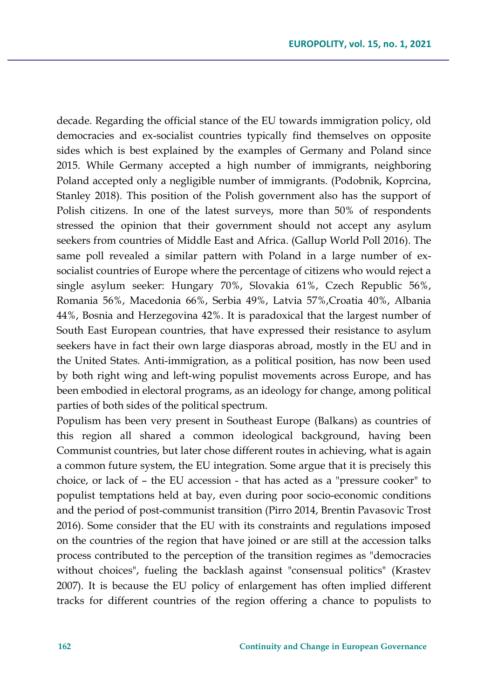decade. Regarding the official stance of the EU towards immigration policy, old democracies and ex-socialist countries typically find themselves on opposite sides which is best explained by the examples of Germany and Poland since 2015. While Germany accepted a high number of immigrants, neighboring Poland accepted only a negligible number of immigrants. (Podobnik, Koprcina, Stanley 2018). This position of the Polish government also has the support of Polish citizens. In one of the latest surveys, more than 50% of respondents stressed the opinion that their government should not accept any asylum seekers from countries of Middle East and Africa. (Gallup World Poll 2016). The same poll revealed a similar pattern with Poland in a large number of exsocialist countries of Europe where the percentage of citizens who would reject a single asylum seeker: Hungary 70%, Slovakia 61%, Czech Republic 56%, Romania 56%, Macedonia 66%, Serbia 49%, Latvia 57%,Croatia 40%, Albania 44%, Bosnia and Herzegovina 42%. It is paradoxical that the largest number of South East European countries, that have expressed their resistance to asylum seekers have in fact their own large diasporas abroad, mostly in the EU and in the United States. Anti-immigration, as a political position, has now been used by both right wing and left-wing populist movements across Europe, and has been embodied in electoral programs, as an ideology for change, among political parties of both sides of the political spectrum.

Populism has been very present in Southeast Europe (Balkans) as countries of this region all shared a common ideological background, having been Communist countries, but later chose different routes in achieving, what is again a common future system, the EU integration. Some argue that it is precisely this choice, or lack of – the EU accession - that has acted as a "pressure cooker" to populist temptations held at bay, even during poor socio-economic conditions and the period of post-communist transition (Pirro 2014, Brentin Pavasovic Trost 2016). Some consider that the EU with its constraints and regulations imposed on the countries of the region that have joined or are still at the accession talks process contributed to the perception of the transition regimes as "democracies without choices", fueling the backlash against "consensual politics" (Krastev 2007). It is because the EU policy of enlargement has often implied different tracks for different countries of the region offering a chance to populists to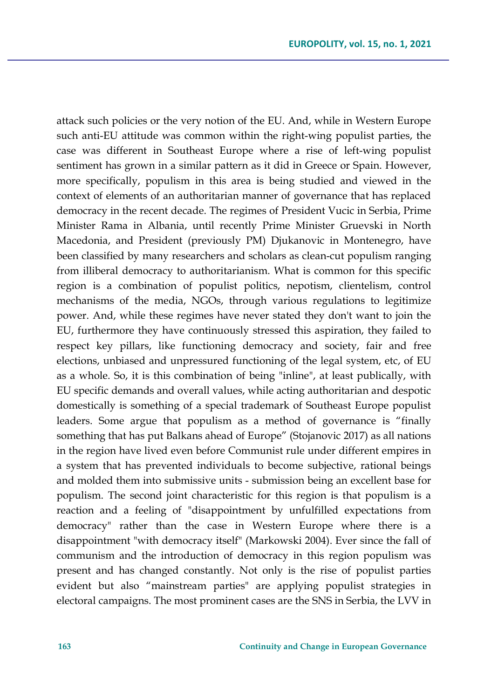attack such policies or the very notion of the EU. And, while in Western Europe such anti-EU attitude was common within the right-wing populist parties, the case was different in Southeast Europe where a rise of left-wing populist sentiment has grown in a similar pattern as it did in Greece or Spain. However, more specifically, populism in this area is being studied and viewed in the context of elements of an authoritarian manner of governance that has replaced democracy in the recent decade. The regimes of President Vucic in Serbia, Prime Minister Rama in Albania, until recently Prime Minister Gruevski in North Macedonia, and President (previously PM) Djukanovic in Montenegro, have been classified by many researchers and scholars as clean-cut populism ranging from illiberal democracy to authoritarianism. What is common for this specific region is a combination of populist politics, nepotism, clientelism, control mechanisms of the media, NGOs, through various regulations to legitimize power. And, while these regimes have never stated they don't want to join the EU, furthermore they have continuously stressed this aspiration, they failed to respect key pillars, like functioning democracy and society, fair and free elections, unbiased and unpressured functioning of the legal system, etc, of EU as a whole. So, it is this combination of being "inline", at least publically, with EU specific demands and overall values, while acting authoritarian and despotic domestically is something of a special trademark of Southeast Europe populist leaders. Some argue that populism as a method of governance is "finally something that has put Balkans ahead of Europe" (Stojanovic 2017) as all nations in the region have lived even before Communist rule under different empires in a system that has prevented individuals to become subjective, rational beings and molded them into submissive units - submission being an excellent base for populism. The second joint characteristic for this region is that populism is a reaction and a feeling of "disappointment by unfulfilled expectations from democracy" rather than the case in Western Europe where there is a disappointment "with democracy itself" (Markowski 2004). Ever since the fall of communism and the introduction of democracy in this region populism was present and has changed constantly. Not only is the rise of populist parties evident but also "mainstream parties" are applying populist strategies in electoral campaigns. The most prominent cases are the SNS in Serbia, the LVV in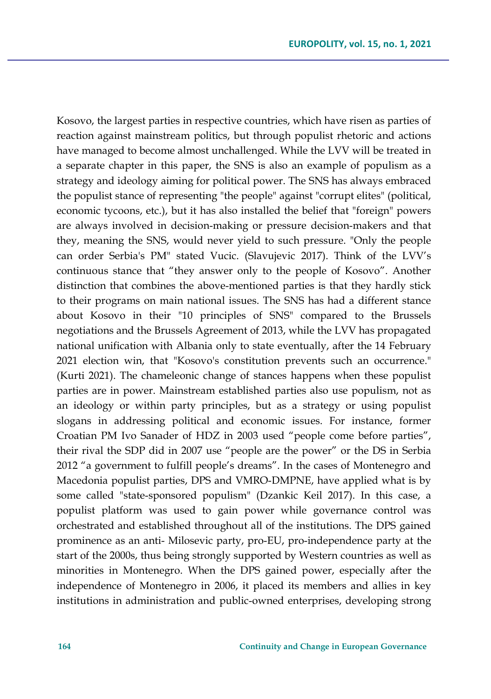Kosovo, the largest parties in respective countries, which have risen as parties of reaction against mainstream politics, but through populist rhetoric and actions have managed to become almost unchallenged. While the LVV will be treated in a separate chapter in this paper, the SNS is also an example of populism as a strategy and ideology aiming for political power. The SNS has always embraced the populist stance of representing "the people" against "corrupt elites" (political, economic tycoons, etc.), but it has also installed the belief that "foreign" powers are always involved in decision-making or pressure decision-makers and that they, meaning the SNS, would never yield to such pressure. "Only the people can order Serbia's PM" stated Vucic. (Slavujevic 2017). Think of the LVV's continuous stance that "they answer only to the people of Kosovo". Another distinction that combines the above-mentioned parties is that they hardly stick to their programs on main national issues. The SNS has had a different stance about Kosovo in their "10 principles of SNS" compared to the Brussels negotiations and the Brussels Agreement of 2013, while the LVV has propagated national unification with Albania only to state eventually, after the 14 February 2021 election win, that "Kosovo's constitution prevents such an occurrence." (Kurti 2021). The chameleonic change of stances happens when these populist parties are in power. Mainstream established parties also use populism, not as an ideology or within party principles, but as a strategy or using populist slogans in addressing political and economic issues. For instance, former Croatian PM Ivo Sanader of HDZ in 2003 used "people come before parties", their rival the SDP did in 2007 use "people are the power" or the DS in Serbia 2012 "a government to fulfill people's dreams". In the cases of Montenegro and Macedonia populist parties, DPS and VMRO-DMPNE, have applied what is by some called "state-sponsored populism" (Dzankic Keil 2017). In this case, a populist platform was used to gain power while governance control was orchestrated and established throughout all of the institutions. The DPS gained prominence as an anti- Milosevic party, pro-EU, pro-independence party at the start of the 2000s, thus being strongly supported by Western countries as well as minorities in Montenegro. When the DPS gained power, especially after the independence of Montenegro in 2006, it placed its members and allies in key institutions in administration and public-owned enterprises, developing strong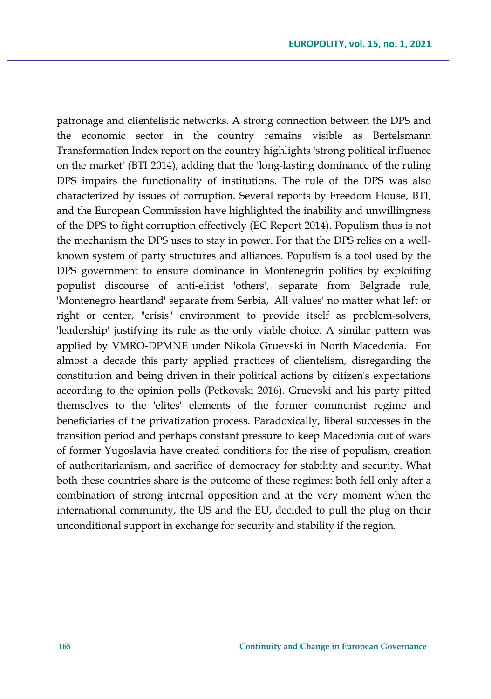patronage and clientelistic networks. A strong connection between the DPS and the economic sector in the country remains visible as Bertelsmann Transformation Index report on the country highlights 'strong political influence on the market' (BTI 2014), adding that the 'long-lasting dominance of the ruling DPS impairs the functionality of institutions. The rule of the DPS was also characterized by issues of corruption. Several reports by Freedom House, BTI, and the European Commission have highlighted the inability and unwillingness of the DPS to fight corruption effectively (EC Report 2014). Populism thus is not the mechanism the DPS uses to stay in power. For that the DPS relies on a wellknown system of party structures and alliances. Populism is a tool used by the DPS government to ensure dominance in Montenegrin politics by exploiting populist discourse of anti-elitist 'others', separate from Belgrade rule, 'Montenegro heartland' separate from Serbia, 'All values' no matter what left or right or center, "crisis" environment to provide itself as problem-solvers, 'leadership' justifying its rule as the only viable choice. A similar pattern was applied by VMRO-DPMNE under Nikola Gruevski in North Macedonia. For almost a decade this party applied practices of clientelism, disregarding the constitution and being driven in their political actions by citizen's expectations according to the opinion polls (Petkovski 2016). Gruevski and his party pitted themselves to the 'elites' elements of the former communist regime and beneficiaries of the privatization process. Paradoxically, liberal successes in the transition period and perhaps constant pressure to keep Macedonia out of wars of former Yugoslavia have created conditions for the rise of populism, creation of authoritarianism, and sacrifice of democracy for stability and security. What both these countries share is the outcome of these regimes: both fell only after a combination of strong internal opposition and at the very moment when the international community, the US and the EU, decided to pull the plug on their unconditional support in exchange for security and stability if the region.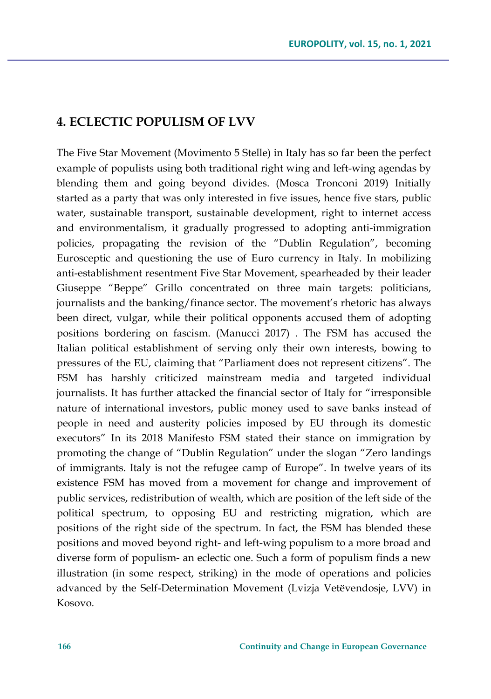## **4. ECLECTIC POPULISM OF LVV**

The Five Star Movement (Movimento 5 Stelle) in Italy has so far been the perfect example of populists using both traditional right wing and left-wing agendas by blending them and going beyond divides. (Mosca Tronconi 2019) Initially started as a party that was only interested in five issues, hence five stars, public water, sustainable transport, sustainable development, right to internet access and environmentalism, it gradually progressed to adopting anti-immigration policies, propagating the revision of the "Dublin Regulation", becoming Eurosceptic and questioning the use of Euro currency in Italy. In mobilizing anti-establishment resentment Five Star Movement, spearheaded by their leader Giuseppe "Beppe" Grillo concentrated on three main targets: politicians, journalists and the banking/finance sector. The movement's rhetoric has always been direct, vulgar, while their political opponents accused them of adopting positions bordering on fascism. (Manucci 2017) . The FSM has accused the Italian political establishment of serving only their own interests, bowing to pressures of the EU, claiming that "Parliament does not represent citizens". The FSM has harshly criticized mainstream media and targeted individual journalists. It has further attacked the financial sector of Italy for "irresponsible nature of international investors, public money used to save banks instead of people in need and austerity policies imposed by EU through its domestic executors" In its 2018 Manifesto FSM stated their stance on immigration by promoting the change of "Dublin Regulation" under the slogan "Zero landings of immigrants. Italy is not the refugee camp of Europe". In twelve years of its existence FSM has moved from a movement for change and improvement of public services, redistribution of wealth, which are position of the left side of the political spectrum, to opposing EU and restricting migration, which are positions of the right side of the spectrum. In fact, the FSM has blended these positions and moved beyond right- and left-wing populism to a more broad and diverse form of populism- an eclectic one. Such a form of populism finds a new illustration (in some respect, striking) in the mode of operations and policies advanced by the Self-Determination Movement (Lvizja Vetëvendosje, LVV) in Kosovo.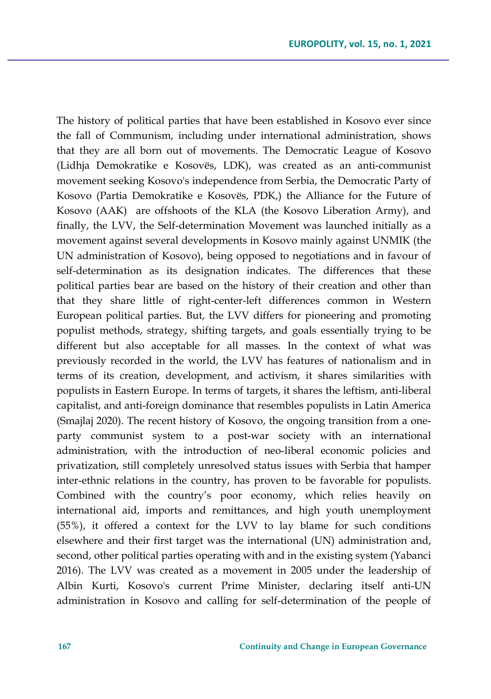The history of political parties that have been established in Kosovo ever since the fall of Communism, including under international administration, shows that they are all born out of movements. The Democratic League of Kosovo (Lidhja Demokratike e Kosovës, LDK), was created as an anti-communist movement seeking Kosovo's independence from Serbia, the Democratic Party of Kosovo (Partia Demokratike e Kosovës, PDK,) the Alliance for the Future of Kosovo (AAK) are offshoots of the KLA (the Kosovo Liberation Army), and finally, the LVV, the Self-determination Movement was launched initially as a movement against several developments in Kosovo mainly against UNMIK (the UN administration of Kosovo), being opposed to negotiations and in favour of self-determination as its designation indicates. The differences that these political parties bear are based on the history of their creation and other than that they share little of right-center-left differences common in Western European political parties. But, the LVV differs for pioneering and promoting populist methods, strategy, shifting targets, and goals essentially trying to be different but also acceptable for all masses. In the context of what was previously recorded in the world, the LVV has features of nationalism and in terms of its creation, development, and activism, it shares similarities with populists in Eastern Europe. In terms of targets, it shares the leftism, anti-liberal capitalist, and anti-foreign dominance that resembles populists in Latin America (Smajlaj 2020). The recent history of Kosovo, the ongoing transition from a oneparty communist system to a post-war society with an international administration, with the introduction of neo-liberal economic policies and privatization, still completely unresolved status issues with Serbia that hamper inter-ethnic relations in the country, has proven to be favorable for populists. Combined with the country's poor economy, which relies heavily on international aid, imports and remittances, and high youth unemployment (55%), it offered a context for the LVV to lay blame for such conditions elsewhere and their first target was the international (UN) administration and, second, other political parties operating with and in the existing system (Yabanci 2016). The LVV was created as a movement in 2005 under the leadership of Albin Kurti, Kosovo's current Prime Minister, declaring itself anti-UN administration in Kosovo and calling for self-determination of the people of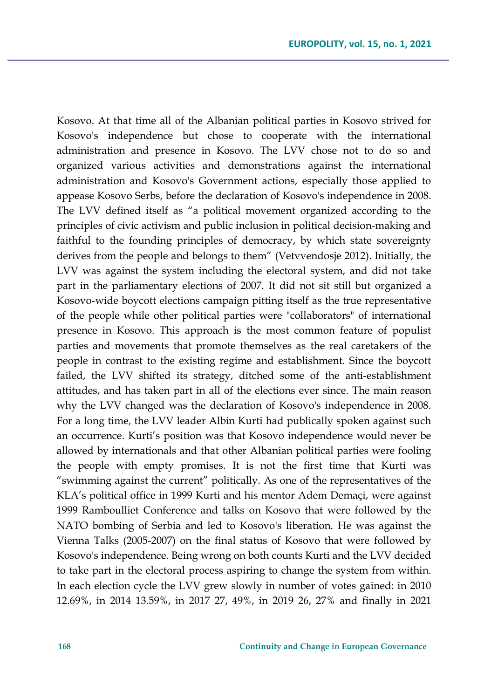Kosovo. At that time all of the Albanian political parties in Kosovo strived for Kosovo's independence but chose to cooperate with the international administration and presence in Kosovo. The LVV chose not to do so and organized various activities and demonstrations against the international administration and Kosovo's Government actions, especially those applied to appease Kosovo Serbs, before the declaration of Kosovo's independence in 2008. The LVV defined itself as "a political movement organized according to the principles of civic activism and public inclusion in political decision-making and faithful to the founding principles of democracy, by which state sovereignty derives from the people and belongs to them" (Vetvvendosje 2012). Initially, the LVV was against the system including the electoral system, and did not take part in the parliamentary elections of 2007. It did not sit still but organized a Kosovo-wide boycott elections campaign pitting itself as the true representative of the people while other political parties were "collaborators" of international presence in Kosovo. This approach is the most common feature of populist parties and movements that promote themselves as the real caretakers of the people in contrast to the existing regime and establishment. Since the boycott failed, the LVV shifted its strategy, ditched some of the anti-establishment attitudes, and has taken part in all of the elections ever since. The main reason why the LVV changed was the declaration of Kosovo's independence in 2008. For a long time, the LVV leader Albin Kurti had publically spoken against such an occurrence. Kurti's position was that Kosovo independence would never be allowed by internationals and that other Albanian political parties were fooling the people with empty promises. It is not the first time that Kurti was "swimming against the current" politically. As one of the representatives of the KLA's political office in 1999 Kurti and his mentor Adem Demaçi, were against 1999 Ramboulliet Conference and talks on Kosovo that were followed by the NATO bombing of Serbia and led to Kosovo's liberation. He was against the Vienna Talks (2005-2007) on the final status of Kosovo that were followed by Kosovo's independence. Being wrong on both counts Kurti and the LVV decided to take part in the electoral process aspiring to change the system from within. In each election cycle the LVV grew slowly in number of votes gained: in 2010 12.69%, in 2014 13.59%, in 2017 27, 49%, in 2019 26, 27% and finally in 2021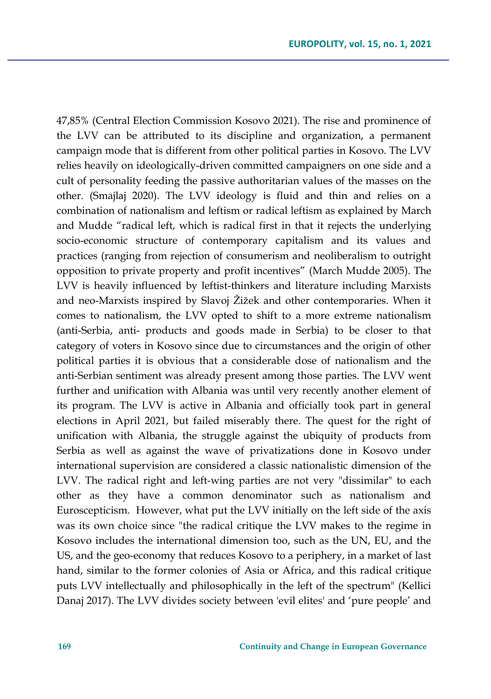47,85% (Central Election Commission Kosovo 2021). The rise and prominence of the LVV can be attributed to its discipline and organization, a permanent campaign mode that is different from other political parties in Kosovo. The LVV relies heavily on ideologically-driven committed campaigners on one side and a cult of personality feeding the passive authoritarian values of the masses on the other. (Smajlaj 2020). The LVV ideology is fluid and thin and relies on a combination of nationalism and leftism or radical leftism as explained by March and Mudde "radical left, which is radical first in that it rejects the underlying socio-economic structure of contemporary capitalism and its values and practices (ranging from rejection of consumerism and neoliberalism to outright opposition to private property and profit incentives" (March Mudde 2005). The LVV is heavily influenced by leftist-thinkers and literature including Marxists and neo-Marxists inspired by Slavoj Žižek and other contemporaries. When it comes to nationalism, the LVV opted to shift to a more extreme nationalism (anti-Serbia, anti- products and goods made in Serbia) to be closer to that category of voters in Kosovo since due to circumstances and the origin of other political parties it is obvious that a considerable dose of nationalism and the anti-Serbian sentiment was already present among those parties. The LVV went further and unification with Albania was until very recently another element of its program. The LVV is active in Albania and officially took part in general elections in April 2021, but failed miserably there. The quest for the right of unification with Albania, the struggle against the ubiquity of products from Serbia as well as against the wave of privatizations done in Kosovo under international supervision are considered a classic nationalistic dimension of the LVV. The radical right and left-wing parties are not very "dissimilar" to each other as they have a common denominator such as nationalism and Euroscepticism. However, what put the LVV initially on the left side of the axis was its own choice since "the radical critique the LVV makes to the regime in Kosovo includes the international dimension too, such as the UN, EU, and the US, and the geo-economy that reduces Kosovo to a periphery, in a market of last hand, similar to the former colonies of Asia or Africa, and this radical critique puts LVV intellectually and philosophically in the left of the spectrum" (Kellici Danaj 2017). The LVV divides society between 'evil elites' and 'pure people' and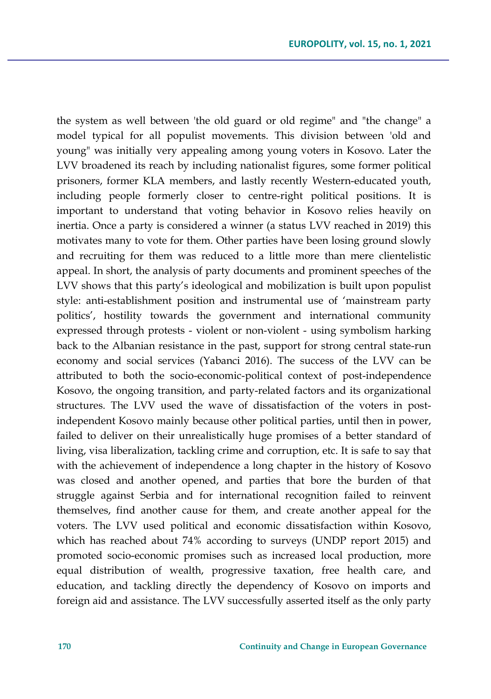the system as well between 'the old guard or old regime" and "the change" a model typical for all populist movements. This division between 'old and young" was initially very appealing among young voters in Kosovo. Later the LVV broadened its reach by including nationalist figures, some former political prisoners, former KLA members, and lastly recently Western-educated youth, including people formerly closer to centre-right political positions. It is important to understand that voting behavior in Kosovo relies heavily on inertia. Once a party is considered a winner (a status LVV reached in 2019) this motivates many to vote for them. Other parties have been losing ground slowly and recruiting for them was reduced to a little more than mere clientelistic appeal. In short, the analysis of party documents and prominent speeches of the LVV shows that this party's ideological and mobilization is built upon populist style: anti-establishment position and instrumental use of 'mainstream party politics', hostility towards the government and international community expressed through protests - violent or non-violent - using symbolism harking back to the Albanian resistance in the past, support for strong central state-run economy and social services (Yabanci 2016). The success of the LVV can be attributed to both the socio-economic-political context of post-independence Kosovo, the ongoing transition, and party-related factors and its organizational structures. The LVV used the wave of dissatisfaction of the voters in postindependent Kosovo mainly because other political parties, until then in power, failed to deliver on their unrealistically huge promises of a better standard of living, visa liberalization, tackling crime and corruption, etc. It is safe to say that with the achievement of independence a long chapter in the history of Kosovo was closed and another opened, and parties that bore the burden of that struggle against Serbia and for international recognition failed to reinvent themselves, find another cause for them, and create another appeal for the voters. The LVV used political and economic dissatisfaction within Kosovo, which has reached about 74% according to surveys (UNDP report 2015) and promoted socio-economic promises such as increased local production, more equal distribution of wealth, progressive taxation, free health care, and education, and tackling directly the dependency of Kosovo on imports and foreign aid and assistance. The LVV successfully asserted itself as the only party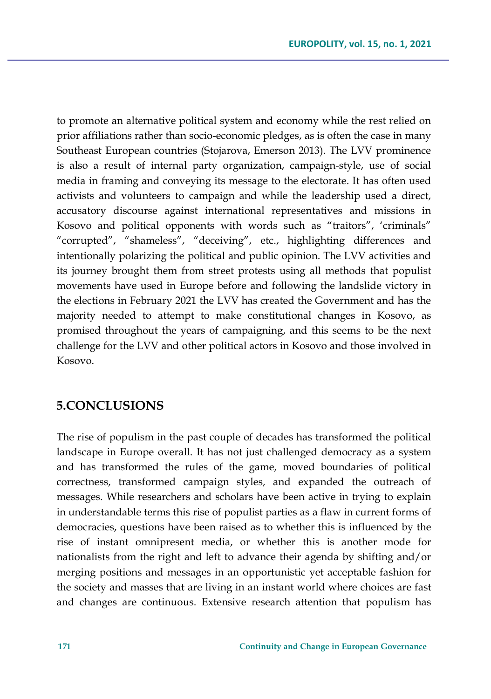to promote an alternative political system and economy while the rest relied on prior affiliations rather than socio-economic pledges, as is often the case in many Southeast European countries (Stojarova, Emerson 2013). The LVV prominence is also a result of internal party organization, campaign-style, use of social media in framing and conveying its message to the electorate. It has often used activists and volunteers to campaign and while the leadership used a direct, accusatory discourse against international representatives and missions in Kosovo and political opponents with words such as "traitors", 'criminals" "corrupted", "shameless", "deceiving", etc., highlighting differences and intentionally polarizing the political and public opinion. The LVV activities and its journey brought them from street protests using all methods that populist movements have used in Europe before and following the landslide victory in the elections in February 2021 the LVV has created the Government and has the majority needed to attempt to make constitutional changes in Kosovo, as promised throughout the years of campaigning, and this seems to be the next challenge for the LVV and other political actors in Kosovo and those involved in Kosovo.

## **5.CONCLUSIONS**

The rise of populism in the past couple of decades has transformed the political landscape in Europe overall. It has not just challenged democracy as a system and has transformed the rules of the game, moved boundaries of political correctness, transformed campaign styles, and expanded the outreach of messages. While researchers and scholars have been active in trying to explain in understandable terms this rise of populist parties as a flaw in current forms of democracies, questions have been raised as to whether this is influenced by the rise of instant omnipresent media, or whether this is another mode for nationalists from the right and left to advance their agenda by shifting and/or merging positions and messages in an opportunistic yet acceptable fashion for the society and masses that are living in an instant world where choices are fast and changes are continuous. Extensive research attention that populism has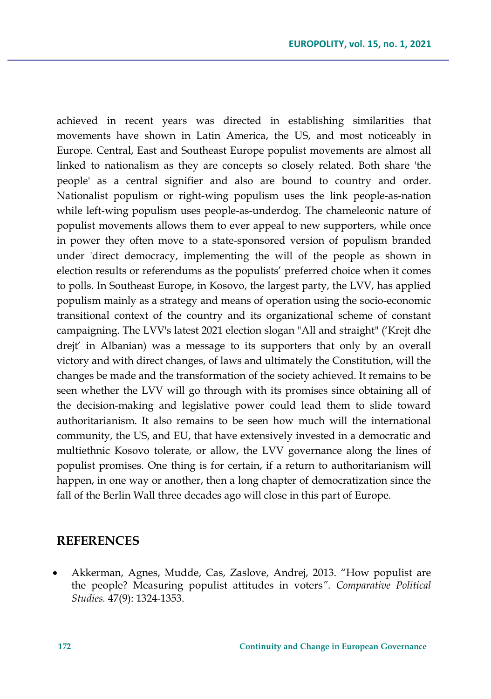achieved in recent years was directed in establishing similarities that movements have shown in Latin America, the US, and most noticeably in Europe. Central, East and Southeast Europe populist movements are almost all linked to nationalism as they are concepts so closely related. Both share 'the people' as a central signifier and also are bound to country and order. Nationalist populism or right-wing populism uses the link people-as-nation while left-wing populism uses people-as-underdog. The chameleonic nature of populist movements allows them to ever appeal to new supporters, while once in power they often move to a state-sponsored version of populism branded under 'direct democracy, implementing the will of the people as shown in election results or referendums as the populists' preferred choice when it comes to polls. In Southeast Europe, in Kosovo, the largest party, the LVV, has applied populism mainly as a strategy and means of operation using the socio-economic transitional context of the country and its organizational scheme of constant campaigning. The LVV's latest 2021 election slogan "All and straight" ('Krejt dhe drejt' in Albanian) was a message to its supporters that only by an overall victory and with direct changes, of laws and ultimately the Constitution, will the changes be made and the transformation of the society achieved. It remains to be seen whether the LVV will go through with its promises since obtaining all of the decision-making and legislative power could lead them to slide toward authoritarianism. It also remains to be seen how much will the international community, the US, and EU, that have extensively invested in a democratic and multiethnic Kosovo tolerate, or allow, the LVV governance along the lines of populist promises. One thing is for certain, if a return to authoritarianism will happen, in one way or another, then a long chapter of democratization since the fall of the Berlin Wall three decades ago will close in this part of Europe.

#### **REFERENCES**

• Akkerman, Agnes, Mudde, Cas, Zaslove, Andrej, 2013. "How populist are the people? Measuring populist attitudes in voters*". Comparative Political Studies.* 47(9): 1324-1353.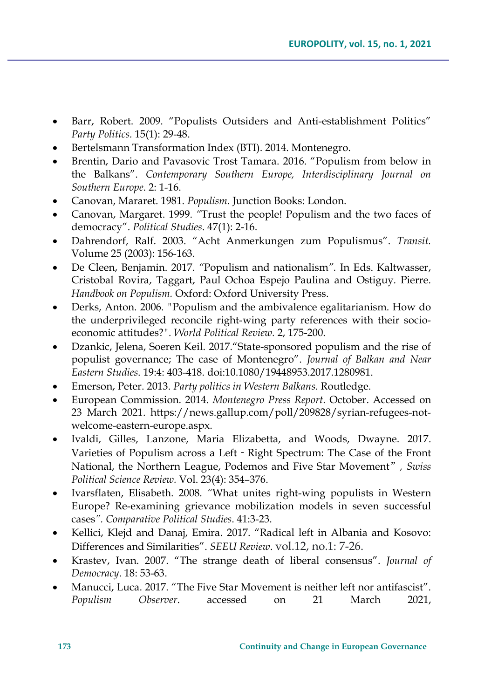- Barr, Robert. 2009. "Populists Outsiders and Anti-establishment Politics" *Party Politics.* 15(1): 29-48.
- Bertelsmann Transformation Index (BTI). 2014. Montenegro.
- Brentin, Dario and Pavasovic Trost Tamara. 2016. "Populism from below in the Balkans". *Contemporary Southern Europe, Interdisciplinary Journal on Southern Europe*. 2: 1-16.
- Canovan, Mararet. 1981. *Populism.* Junction Books: London.
- Canovan, Margaret. 1999. *"*Trust the people! Populism and the two faces of democracy". *Political Studies*. 47(1): 2-16.
- Dahrendorf, Ralf. 2003. "Acht Anmerkungen zum Populismus". *Transit.* Volume 25 (2003): 156-163.
- De Cleen, Benjamin. 2017. *"*Populism and nationalism*".* In Eds. Kaltwasser, Cristobal Rovira, Taggart, Paul Ochoa Espejo Paulina and Ostiguy. Pierre. *Handbook on Populism.* Oxford: Oxford University Press.
- Derks, Anton. 2006*. "*Populism and the ambivalence egalitarianism. How do the underprivileged reconcile right-wing party references with their socioeconomic attitudes?*". World Political Review.* 2, 175-200.
- Dzankic, Jelena, Soeren Keil. 2017."State-sponsored populism and the rise of populist governance; The case of Montenegro". *Journal of Balkan and Near Eastern Studies*. 19:4: 403-418. doi:10.1080/19448953.2017.1280981.
- Emerson, Peter. 2013. *Party politics in Western Balkans*. Routledge.
- European Commission. 2014. *Montenegro Press Report.* October. Accessed on 23 March 2021. https://news.gallup.com/poll/209828/syrian-refugees-notwelcome-eastern-europe.aspx.
- Ivaldi, Gilles, Lanzone, Maria Elizabetta, and Woods, Dwayne. 2017. Varieties of Populism across a Left - Right Spectrum: The Case of the Front National, the Northern League, Podemos and Five Star Movement"*, Swiss Political Science Review.* Vol. 23(4): 354–376.
- Ivarsflaten, Elisabeth. 2008. *"*What unites right-wing populists in Western Europe? Re-examining grievance mobilization models in seven successful cases*". Comparative Political Studies*. 41:3-23.
- Kellici, Klejd and Danaj, Emira. 2017. "Radical left in Albania and Kosovo: Differences and Similarities". *SEEU Review*. vol.12, no.1: 7-26.
- Krastev, Ivan. 2007. "The strange death of liberal consensus". *Journal of Democracy*. 18: 53-63.
- Manucci, Luca. 2017. "The Five Star Movement is neither left nor antifascist". *Populism Observer*. accessed on 21 March 2021,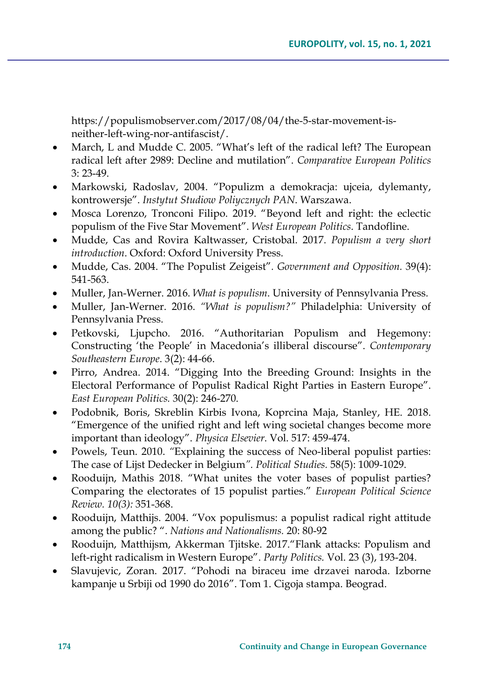https://populismobserver.com/2017/08/04/the-5-star-movement-isneither-left-wing-nor-antifascist/.

- March, L and Mudde C. 2005. "What's left of the radical left? The European radical left after 2989: Decline and mutilation". *Comparative European Politics* 3: 23-49.
- Markowski, Radoslav, 2004. "Populizm a demokracja: ujceia, dylemanty, kontrowersje". *Instytut Studiow Poliycznych PAN*. Warszawa.
- Mosca Lorenzo, Tronconi Filipo. 2019. "Beyond left and right: the eclectic populism of the Five Star Movement". *West European Politics*. Tandofline.
- Mudde, Cas and Rovira Kaltwasser, Cristobal. 2017. *Populism a very short introduction*. Oxford: Oxford University Press.
- Mudde, Cas. 2004. "The Populist Zeigeist"*. Government and Opposition.* 39(4): 541-563.
- Muller, Jan-Werner. 2016. *What is populism*. University of Pennsylvania Press.
- Muller, Jan-Werner. 2016. *"What is populism?"* Philadelphia: University of Pennsylvania Press.
- Petkovski, Ljupcho. 2016. "Authoritarian Populism and Hegemony: Constructing 'the People' in Macedonia's illiberal discourse". *Contemporary Southeastern Europe*. 3(2): 44-66.
- Pirro, Andrea. 2014. "Digging Into the Breeding Ground: Insights in the Electoral Performance of Populist Radical Right Parties in Eastern Europe". *East European Politics.* 30(2): 246-270.
- Podobnik, Boris, Skreblin Kirbis Ivona, Koprcina Maja, Stanley, HE. 2018. "Emergence of the unified right and left wing societal changes become more important than ideology". *Physica Elsevier*. Vol. 517: 459-474.
- Powels, Teun. 2010. *"*Explaining the success of Neo-liberal populist parties: The case of Lijst Dedecker in Belgium*". Political Studies.* 58(5): 1009-1029.
- Rooduijn, Mathis 2018. "What unites the voter bases of populist parties? Comparing the electorates of 15 populist parties." *European Political Science Review. 10(3):* 351-368.
- Rooduijn, Matthijs. 2004. "Vox populismus: a populist radical right attitude among the public? ". *Nations and Nationalisms.* 20: 80-92
- Rooduijn, Matthijsm, Akkerman Tjitske. 2017."Flank attacks: Populism and left-right radicalism in Western Europe". *Party Politics.* Vol. 23 (3), 193-204.
- Slavujevic, Zoran. 2017. "Pohodi na biraceu ime drzavei naroda. Izborne kampanje u Srbiji od 1990 do 2016". Tom 1. Cigoja stampa. Beograd.